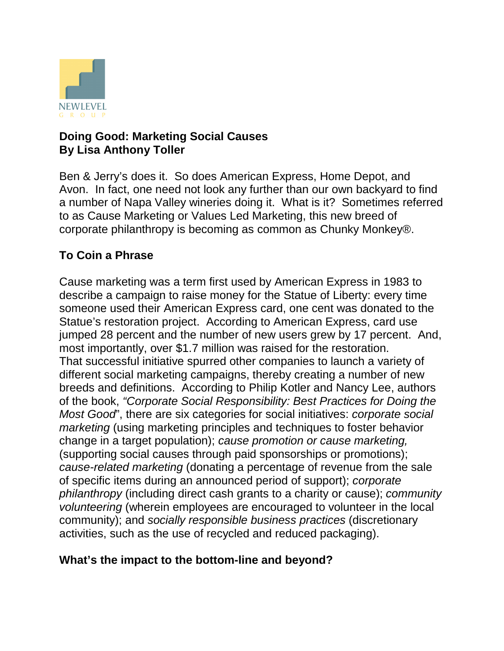

#### **Doing Good: Marketing Social Causes By Lisa Anthony Toller**

Ben & Jerry's does it. So does American Express, Home Depot, and Avon. In fact, one need not look any further than our own backyard to find a number of Napa Valley wineries doing it. What is it? Sometimes referred to as Cause Marketing or Values Led Marketing, this new breed of corporate philanthropy is becoming as common as Chunky Monkey®.

## **To Coin a Phrase**

Cause marketing was a term first used by American Express in 1983 to describe a campaign to raise money for the Statue of Liberty: every time someone used their American Express card, one cent was donated to the Statue's restoration project. According to American Express, card use jumped 28 percent and the number of new users grew by 17 percent. And, most importantly, over \$1.7 million was raised for the restoration. That successful initiative spurred other companies to launch a variety of different social marketing campaigns, thereby creating a number of new breeds and definitions. According to Philip Kotler and Nancy Lee, authors of the book, *"Corporate Social Responsibility: Best Practices for Doing the Most Good*", there are six categories for social initiatives: *corporate social marketing* (using marketing principles and techniques to foster behavior change in a target population); *cause promotion or cause marketing,* (supporting social causes through paid sponsorships or promotions); *cause-related marketing* (donating a percentage of revenue from the sale of specific items during an announced period of support); *corporate philanthropy* (including direct cash grants to a charity or cause); *community volunteering* (wherein employees are encouraged to volunteer in the local community); and *socially responsible business practices* (discretionary activities, such as the use of recycled and reduced packaging).

### **What's the impact to the bottom-line and beyond?**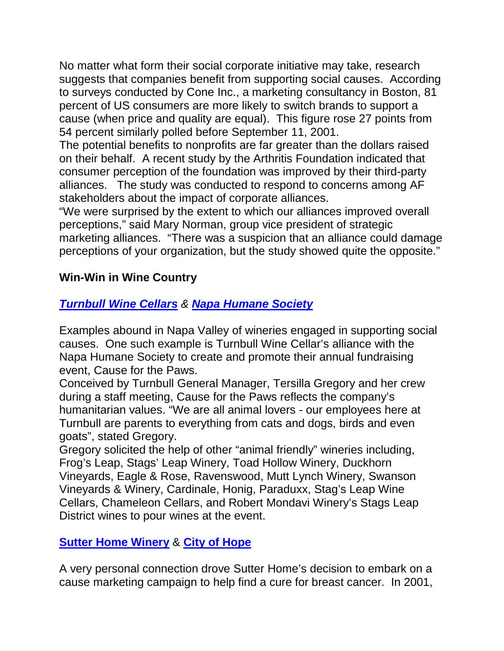No matter what form their social corporate initiative may take, research suggests that companies benefit from supporting social causes. According to surveys conducted by Cone Inc., a marketing consultancy in Boston, 81 percent of US consumers are more likely to switch brands to support a cause (when price and quality are equal). This figure rose 27 points from 54 percent similarly polled before September 11, 2001.

The potential benefits to nonprofits are far greater than the dollars raised on their behalf. A recent study by the Arthritis Foundation indicated that consumer perception of the foundation was improved by their third-party alliances. The study was conducted to respond to concerns among AF stakeholders about the impact of corporate alliances.

"We were surprised by the extent to which our alliances improved overall perceptions," said Mary Norman, group vice president of strategic marketing alliances. "There was a suspicion that an alliance could damage perceptions of your organization, but the study showed quite the opposite."

### **Win-Win in Wine Country**

# *Turnbull Wine Cellars & Napa Humane Society*

Examples abound in Napa Valley of wineries engaged in supporting social causes. One such example is Turnbull Wine Cellar's alliance with the Napa Humane Society to create and promote their annual fundraising event, Cause for the Paws.

Conceived by Turnbull General Manager, Tersilla Gregory and her crew during a staff meeting, Cause for the Paws reflects the company's humanitarian values. "We are all animal lovers - our employees here at Turnbull are parents to everything from cats and dogs, birds and even goats", stated Gregory.

Gregory solicited the help of other "animal friendly" wineries including, Frog's Leap, Stags' Leap Winery, Toad Hollow Winery, Duckhorn Vineyards, Eagle & Rose, Ravenswood, Mutt Lynch Winery, Swanson Vineyards & Winery, Cardinale, Honig, Paraduxx, Stag's Leap Wine Cellars, Chameleon Cellars, and Robert Mondavi Winery's Stags Leap District wines to pour wines at the event.

## **Sutter Home Winery** & **City of Hope**

A very personal connection drove Sutter Home's decision to embark on a cause marketing campaign to help find a cure for breast cancer. In 2001,